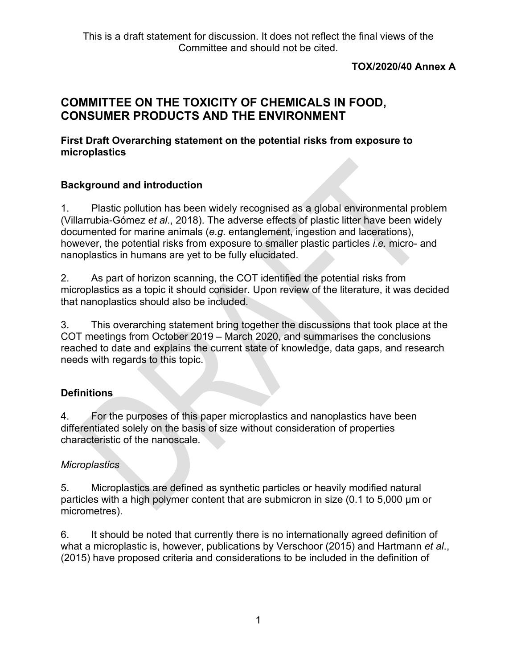### **TOX/2020/40 Annex A**

# **COMMITTEE ON THE TOXICITY OF CHEMICALS IN FOOD, CONSUMER PRODUCTS AND THE ENVIRONMENT**

#### **First Draft Overarching statement on the potential risks from exposure to microplastics**

### **Background and introduction**

1. Plastic pollution has been widely recognised as a global environmental problem (Villarrubia-Gómez *et al*., 2018). The adverse effects of plastic litter have been widely documented for marine animals (*e.g.* entanglement, ingestion and lacerations), however, the potential risks from exposure to smaller plastic particles *i.e.* micro- and nanoplastics in humans are yet to be fully elucidated.

2. As part of horizon scanning, the COT identified the potential risks from microplastics as a topic it should consider. Upon review of the literature, it was decided that nanoplastics should also be included.

3. This overarching statement bring together the discussions that took place at the COT meetings from October 2019 – March 2020, and summarises the conclusions reached to date and explains the current state of knowledge, data gaps, and research needs with regards to this topic.

# **Definitions**

4. For the purposes of this paper microplastics and nanoplastics have been differentiated solely on the basis of size without consideration of properties characteristic of the nanoscale.

# *Microplastics*

5. Microplastics are defined as synthetic particles or heavily modified natural particles with a high polymer content that are submicron in size (0.1 to 5,000 µm or micrometres).

6. It should be noted that currently there is no internationally agreed definition of what a microplastic is, however, publications by Verschoor (2015) and Hartmann *et al*., (2015) have proposed criteria and considerations to be included in the definition of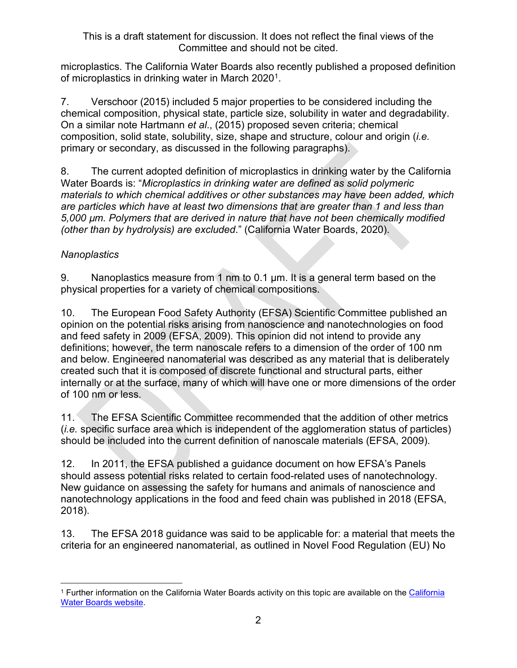microplastics. The California Water Boards also recently published a proposed definition of microplastics in drinking water in March 2020<sup>1</sup>.

7. Verschoor (2015) included 5 major properties to be considered including the chemical composition, physical state, particle size, solubility in water and degradability. On a similar note Hartmann *et al*., (2015) proposed seven criteria; chemical composition, solid state, solubility, size, shape and structure, colour and origin (*i.e.*  primary or secondary, as discussed in the following paragraphs).

8. The current adopted definition of microplastics in drinking water by the California Water Boards is: "*Microplastics in drinking water are defined as solid polymeric materials to which chemical additives or other substances may have been added, which are particles which have at least two dimensions that are greater than 1 and less than 5,000 µm. Polymers that are derived in nature that have not been chemically modified (other than by hydrolysis) are excluded*." (California Water Boards, 2020).

# *Nanoplastics*

9. Nanoplastics measure from 1 nm to 0.1 µm. It is a general term based on the physical properties for a variety of chemical compositions.

10. The European Food Safety Authority (EFSA) Scientific Committee published an opinion on the potential risks arising from nanoscience and nanotechnologies on food and feed safety in 2009 (EFSA, 2009). This opinion did not intend to provide any definitions; however, the term nanoscale refers to a dimension of the order of 100 nm and below. Engineered nanomaterial was described as any material that is deliberately created such that it is composed of discrete functional and structural parts, either internally or at the surface, many of which will have one or more dimensions of the order of 100 nm or less.

11. The EFSA Scientific Committee recommended that the addition of other metrics (*i.e.* specific surface area which is independent of the agglomeration status of particles) should be included into the current definition of nanoscale materials (EFSA, 2009).

12. In 2011, the EFSA published a guidance document on how EFSA's Panels should assess potential risks related to certain food-related uses of nanotechnology. New guidance on assessing the safety for humans and animals of nanoscience and nanotechnology applications in the food and feed chain was published in 2018 (EFSA, 2018).

13. The EFSA 2018 guidance was said to be applicable for: a material that meets the criteria for an engineered nanomaterial, as outlined in Novel Food Regulation (EU) No

<span id="page-1-0"></span><sup>1</sup> Further information on the California Water Boards activity on this topic are available on the [California](https://www.waterboards.ca.gov/drinking_water/certlic/drinkingwater/microplastics.html)  [Water Boards website.](https://www.waterboards.ca.gov/drinking_water/certlic/drinkingwater/microplastics.html)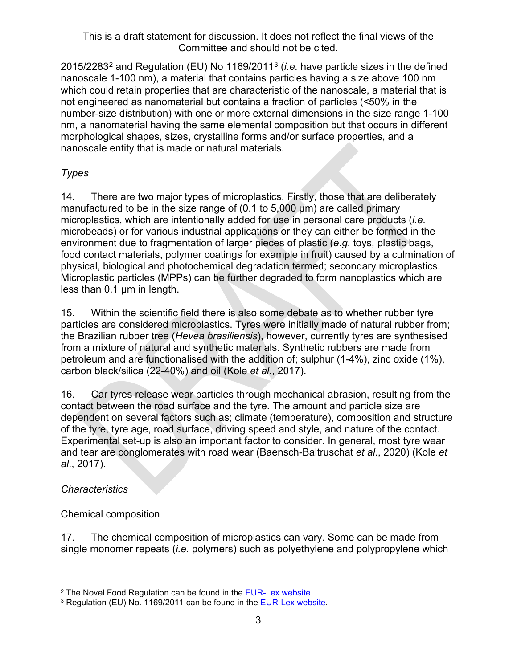2015/2283[2](#page-2-0) and Regulation (EU) No 1169/2011[3](#page-2-1) (*i.e.* have particle sizes in the defined nanoscale 1-100 nm), a material that contains particles having a size above 100 nm which could retain properties that are characteristic of the nanoscale, a material that is not engineered as nanomaterial but contains a fraction of particles (<50% in the number-size distribution) with one or more external dimensions in the size range 1-100 nm, a nanomaterial having the same elemental composition but that occurs in different morphological shapes, sizes, crystalline forms and/or surface properties, and a nanoscale entity that is made or natural materials.

# *Types*

14. There are two major types of microplastics. Firstly, those that are deliberately manufactured to be in the size range of (0.1 to 5,000 µm) are called primary microplastics, which are intentionally added for use in personal care products (*i.e.*  microbeads) or for various industrial applications or they can either be formed in the environment due to fragmentation of larger pieces of plastic (*e.g.* toys, plastic bags, food contact materials, polymer coatings for example in fruit) caused by a culmination of physical, biological and photochemical degradation termed; secondary microplastics. Microplastic particles (MPPs) can be further degraded to form nanoplastics which are less than 0.1 µm in length.

15. Within the scientific field there is also some debate as to whether rubber tyre particles are considered microplastics. Tyres were initially made of natural rubber from; the Brazilian rubber tree (*Hevea brasiliensis*), however, currently tyres are synthesised from a mixture of natural and synthetic materials. Synthetic rubbers are made from petroleum and are functionalised with the addition of; sulphur (1-4%), zinc oxide (1%), carbon black/silica (22-40%) and oil (Kole *et al*., 2017).

16. Car tyres release wear particles through mechanical abrasion, resulting from the contact between the road surface and the tyre. The amount and particle size are dependent on several factors such as; climate (temperature), composition and structure of the tyre, tyre age, road surface, driving speed and style, and nature of the contact. Experimental set-up is also an important factor to consider. In general, most tyre wear and tear are conglomerates with road wear (Baensch-Baltruschat *et al*., 2020) (Kole *et al*., 2017).

# *Characteristics*

# Chemical composition

17. The chemical composition of microplastics can vary. Some can be made from single monomer repeats (*i.e.* polymers) such as polyethylene and polypropylene which

<span id="page-2-0"></span><sup>&</sup>lt;sup>2</sup> The Novel Food Regulation can be found in the **EUR-Lex website**.

<span id="page-2-1"></span><sup>&</sup>lt;sup>3</sup> Regulation (EU) No. 1169/2011 can be found in the **EUR-Lex website.**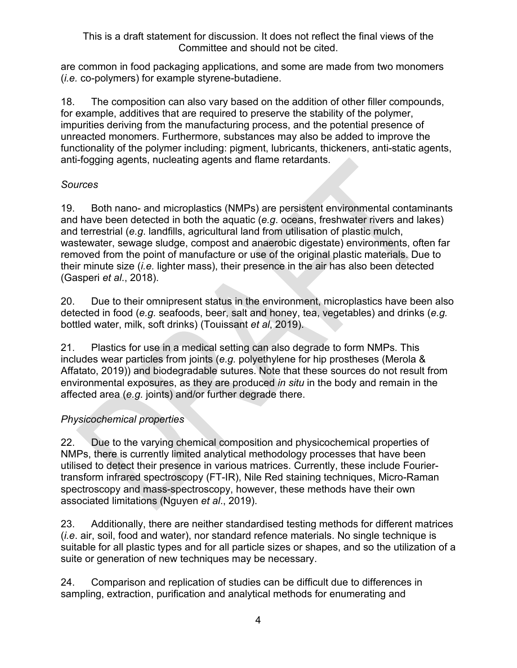are common in food packaging applications, and some are made from two monomers (*i.e.* co-polymers) for example styrene-butadiene.

18. The composition can also vary based on the addition of other filler compounds, for example, additives that are required to preserve the stability of the polymer, impurities deriving from the manufacturing process, and the potential presence of unreacted monomers. Furthermore, substances may also be added to improve the functionality of the polymer including: pigment, lubricants, thickeners, anti-static agents, anti-fogging agents, nucleating agents and flame retardants.

# *Sources*

19. Both nano- and microplastics (NMPs) are persistent environmental contaminants and have been detected in both the aquatic (*e.g*. oceans, freshwater rivers and lakes) and terrestrial (*e.g*. landfills, agricultural land from utilisation of plastic mulch, wastewater, sewage sludge, compost and anaerobic digestate) environments, often far removed from the point of manufacture or use of the original plastic materials. Due to their minute size (*i.e.* lighter mass), their presence in the air has also been detected (Gasperi *et al*., 2018).

20. Due to their omnipresent status in the environment, microplastics have been also detected in food (*e.g.* seafoods, beer, salt and honey, tea, vegetables) and drinks (*e.g.*  bottled water, milk, soft drinks) (Touissant *et al*, 2019).

21. Plastics for use in a medical setting can also degrade to form NMPs. This includes wear particles from joints (*e.g.* polyethylene for hip prostheses (Merola & Affatato, 2019)) and biodegradable sutures. Note that these sources do not result from environmental exposures, as they are produced *in situ* in the body and remain in the affected area (*e.g.* joints) and/or further degrade there.

# *Physicochemical properties*

22. Due to the varying chemical composition and physicochemical properties of NMPs, there is currently limited analytical methodology processes that have been utilised to detect their presence in various matrices. Currently, these include Fouriertransform infrared spectroscopy (FT-IR), Nile Red staining techniques, Micro-Raman spectroscopy and mass-spectroscopy, however, these methods have their own associated limitations (Nguyen *et al*., 2019).

23. Additionally, there are neither standardised testing methods for different matrices (*i.e*. air, soil, food and water), nor standard refence materials. No single technique is suitable for all plastic types and for all particle sizes or shapes, and so the utilization of a suite or generation of new techniques may be necessary.

24. Comparison and replication of studies can be difficult due to differences in sampling, extraction, purification and analytical methods for enumerating and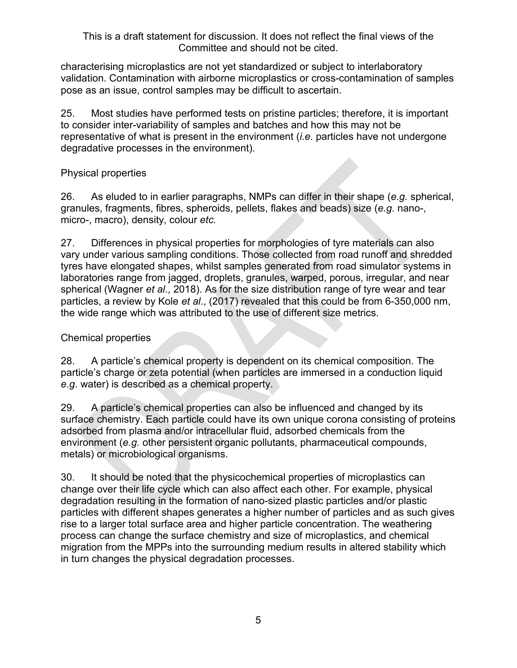characterising microplastics are not yet standardized or subject to interlaboratory validation. Contamination with airborne microplastics or cross-contamination of samples pose as an issue, control samples may be difficult to ascertain.

25. Most studies have performed tests on pristine particles; therefore, it is important to consider inter-variability of samples and batches and how this may not be representative of what is present in the environment (*i.e*. particles have not undergone degradative processes in the environment).

### Physical properties

26. As eluded to in earlier paragraphs, NMPs can differ in their shape (*e.g.* spherical, granules, fragments, fibres, spheroids, pellets, flakes and beads) size (*e.g.* nano-, micro-, macro), density, colour *etc.*

27. Differences in physical properties for morphologies of tyre materials can also vary under various sampling conditions. Those collected from road runoff and shredded tyres have elongated shapes, whilst samples generated from road simulator systems in laboratories range from jagged, droplets, granules, warped, porous, irregular, and near spherical (Wagner *et al*., 2018). As for the size distribution range of tyre wear and tear particles, a review by Kole *et al*., (2017) revealed that this could be from 6-350,000 nm, the wide range which was attributed to the use of different size metrics.

# Chemical properties

28. A particle's chemical property is dependent on its chemical composition. The particle's charge or zeta potential (when particles are immersed in a conduction liquid *e.g*. water) is described as a chemical property.

29. A particle's chemical properties can also be influenced and changed by its surface chemistry. Each particle could have its own unique corona consisting of proteins adsorbed from plasma and/or intracellular fluid, adsorbed chemicals from the environment (*e.g.* other persistent organic pollutants, pharmaceutical compounds, metals) or microbiological organisms.

30. It should be noted that the physicochemical properties of microplastics can change over their life cycle which can also affect each other. For example, physical degradation resulting in the formation of nano-sized plastic particles and/or plastic particles with different shapes generates a higher number of particles and as such gives rise to a larger total surface area and higher particle concentration. The weathering process can change the surface chemistry and size of microplastics, and chemical migration from the MPPs into the surrounding medium results in altered stability which in turn changes the physical degradation processes.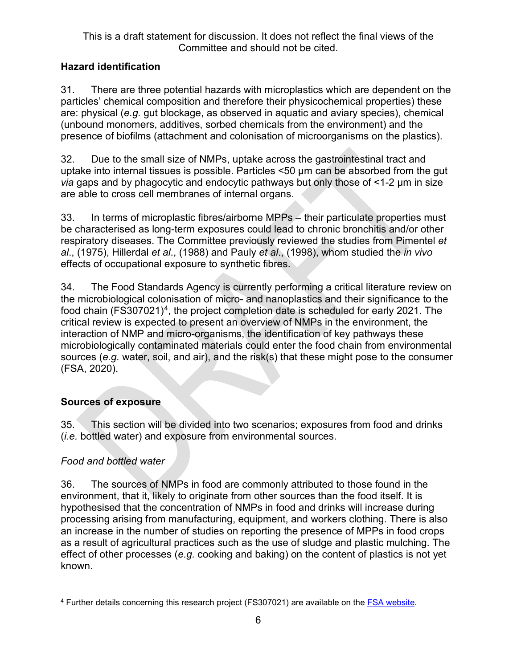# **Hazard identification**

31. There are three potential hazards with microplastics which are dependent on the particles' chemical composition and therefore their physicochemical properties) these are: physical (*e.g.* gut blockage, as observed in aquatic and aviary species), chemical (unbound monomers, additives, sorbed chemicals from the environment) and the presence of biofilms (attachment and colonisation of microorganisms on the plastics).

32. Due to the small size of NMPs, uptake across the gastrointestinal tract and uptake into internal tissues is possible. Particles <50 μm can be absorbed from the gut *via* gaps and by phagocytic and endocytic pathways but only those of <1-2 μm in size are able to cross cell membranes of internal organs.

33. In terms of microplastic fibres/airborne MPPs – their particulate properties must be characterised as long-term exposures could lead to chronic bronchitis and/or other respiratory diseases. The Committee previously reviewed the studies from Pimentel *et al*., (1975), Hillerdal *et al*., (1988) and Pauly *et al*., (1998), whom studied the *in vivo* effects of occupational exposure to synthetic fibres.

34. The Food Standards Agency is currently performing a critical literature review on the microbiological colonisation of micro- and nanoplastics and their significance to the food chain (FS307021)<sup>[4](#page-5-0)</sup>, the project completion date is scheduled for early 2021. The critical review is expected to present an overview of NMPs in the environment, the interaction of NMP and micro-organisms, the identification of key pathways these microbiologically contaminated materials could enter the food chain from environmental sources (*e.g.* water, soil, and air), and the risk(s) that these might pose to the consumer (FSA, 2020).

# **Sources of exposure**

35. This section will be divided into two scenarios; exposures from food and drinks (*i.e.* bottled water) and exposure from environmental sources.

# *Food and bottled water*

36. The sources of NMPs in food are commonly attributed to those found in the environment, that it, likely to originate from other sources than the food itself. It is hypothesised that the concentration of NMPs in food and drinks will increase during processing arising from manufacturing, equipment, and workers clothing. There is also an increase in the number of studies on reporting the presence of MPPs in food crops as a result of agricultural practices *s*uch as the use of sludge and plastic mulching. The effect of other processes (*e.g.* cooking and baking) on the content of plastics is not yet known.

<span id="page-5-0"></span><sup>&</sup>lt;sup>4</sup> Further details concerning this research project (FS307021) are available on the **FSA website**.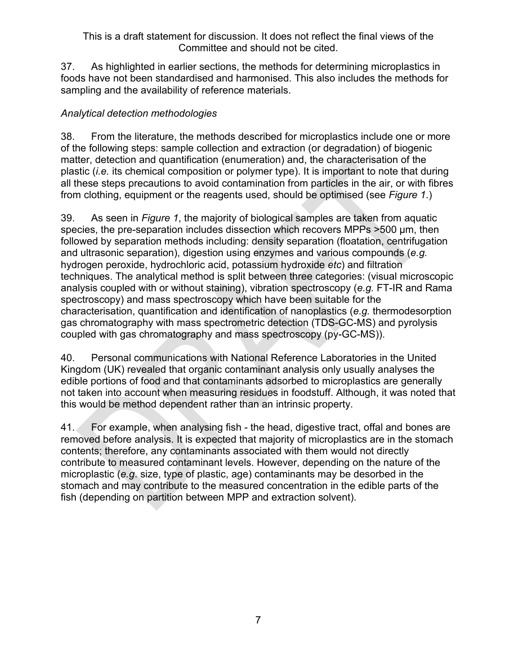37. As highlighted in earlier sections, the methods for determining microplastics in foods have not been standardised and harmonised. This also includes the methods for sampling and the availability of reference materials.

## *Analytical detection methodologies*

38. From the literature, the methods described for microplastics include one or more of the following steps: sample collection and extraction (or degradation) of biogenic matter, detection and quantification (enumeration) and, the characterisation of the plastic (*i.e.* its chemical composition or polymer type). It is important to note that during all these steps precautions to avoid contamination from particles in the air, or with fibres from clothing, equipment or the reagents used, should be optimised (see *[Figure 1](#page-7-0)*.)

39. As seen in *[Figure 1](#page-7-0)*, the majority of biological samples are taken from aquatic species, the pre-separation includes dissection which recovers MPPs >500 µm, then followed by separation methods including: density separation (floatation, centrifugation and ultrasonic separation), digestion using enzymes and various compounds (*e.g.*  hydrogen peroxide, hydrochloric acid, potassium hydroxide *etc*) and filtration techniques. The analytical method is split between three categories: (visual microscopic analysis coupled with or without staining), vibration spectroscopy (*e.g.* FT-IR and Rama spectroscopy) and mass spectroscopy which have been suitable for the characterisation, quantification and identification of nanoplastics (*e.g.* thermodesorption gas chromatography with mass spectrometric detection (TDS-GC-MS) and pyrolysis coupled with gas chromatography and mass spectroscopy (py-GC-MS)).

40. Personal communications with National Reference Laboratories in the United Kingdom (UK) revealed that organic contaminant analysis only usually analyses the edible portions of food and that contaminants adsorbed to microplastics are generally not taken into account when measuring residues in foodstuff. Although, it was noted that this would be method dependent rather than an intrinsic property.

41. For example, when analysing fish - the head, digestive tract, offal and bones are removed before analysis. It is expected that majority of microplastics are in the stomach contents; therefore, any contaminants associated with them would not directly contribute to measured contaminant levels. However, depending on the nature of the microplastic (*e.g*. size, type of plastic, age) contaminants may be desorbed in the stomach and may contribute to the measured concentration in the edible parts of the fish (depending on partition between MPP and extraction solvent).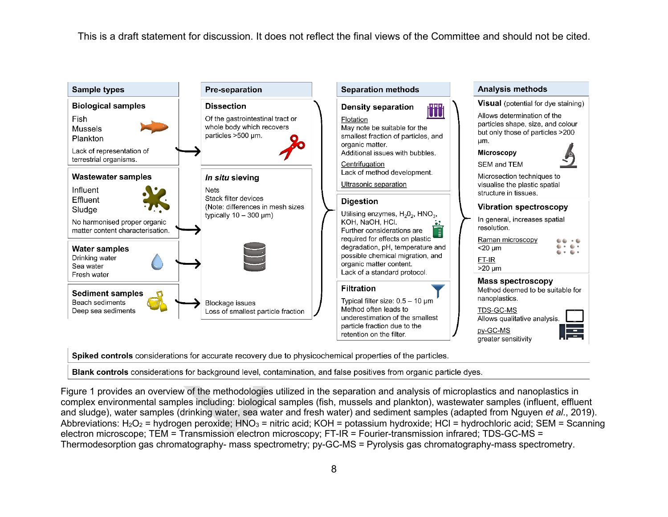

Spiked controls considerations for accurate recovery due to physicochemical properties of the particles.

Blank controls considerations for background level, contamination, and false positives from organic particle dyes.

<span id="page-7-1"></span><span id="page-7-0"></span>Figure 1 provides an overview of the methodologies utilized in the separation and analysis of microplastics and nanoplastics in complex environmental samples including: biological samples (fish, mussels and plankton), wastewater samples (influent, effluent and sludge), water samples (drinking water, sea water and fresh water) and sediment samples (adapted from Nguyen *et al*., 2019). Abbreviations:  $H_2O_2$  = hydrogen peroxide;  $HNO_3$  = nitric acid; KOH = potassium hydroxide; HCl = hydrochloric acid; SEM = Scanning electron microscope; TEM = Transmission electron microscopy; FT-IR = Fourier-transmission infrared; TDS-GC-MS = Thermodesorption gas chromatography- mass spectrometry; py-GC-MS = Pyrolysis gas chromatography-mass spectrometry.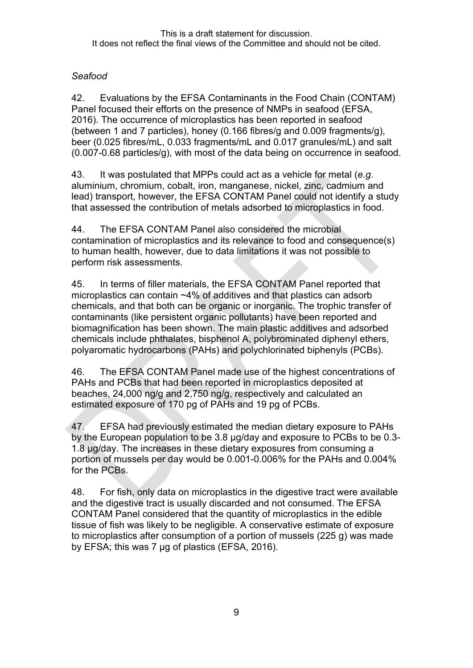# *Seafood*

<span id="page-8-0"></span>42. Evaluations by the EFSA Contaminants in the Food Chain (CONTAM) Panel focused their efforts on the presence of NMPs in seafood (EFSA, 2016). The occurrence of microplastics has been reported in seafood (between 1 and 7 particles), honey (0.166 fibres/g and 0.009 fragments/g), beer (0.025 fibres/mL, 0.033 fragments/mL and 0.017 granules/mL) and salt (0.007-0.68 particles/g), with most of the data being on occurrence in seafood.

43. It was postulated that MPPs could act as a vehicle for metal (*e.g*. aluminium, chromium, cobalt, iron, manganese, nickel, zinc, cadmium and lead) transport, however, the EFSA CONTAM Panel could not identify a study that assessed the contribution of metals adsorbed to microplastics in food.

44. The EFSA CONTAM Panel also considered the microbial contamination of microplastics and its relevance to food and consequence(s) to human health, however, due to data limitations it was not possible to perform risk assessments.

45. In terms of filler materials, the EFSA CONTAM Panel reported that microplastics can contain ~4% of additives and that plastics can adsorb chemicals, and that both can be organic or inorganic. The trophic transfer of contaminants (like persistent organic pollutants) have been reported and biomagnification has been shown. The main plastic additives and adsorbed chemicals include phthalates, bisphenol A, polybrominated diphenyl ethers, polyaromatic hydrocarbons (PAHs) and polychlorinated biphenyls (PCBs).

46. The EFSA CONTAM Panel made use of the highest concentrations of PAHs and PCBs that had been reported in microplastics deposited at beaches, 24,000 ng/g and 2,750 ng/g, respectively and calculated an estimated exposure of 170 pg of PAHs and 19 pg of PCBs.

47. EFSA had previously estimated the median dietary exposure to PAHs by the European population to be 3.8 µg/day and exposure to PCBs to be 0.3- 1.8 µg/day. The increases in these dietary exposures from consuming a portion of mussels per day would be 0.001-0.006% for the PAHs and 0.004% for the PCBs.

<span id="page-8-1"></span>48. For fish, only data on microplastics in the digestive tract were available and the digestive tract is usually discarded and not consumed. The EFSA CONTAM Panel considered that the quantity of microplastics in the edible tissue of fish was likely to be negligible. A conservative estimate of exposure to microplastics after consumption of a portion of mussels (225 g) was made by EFSA; this was 7 µg of plastics (EFSA, 2016).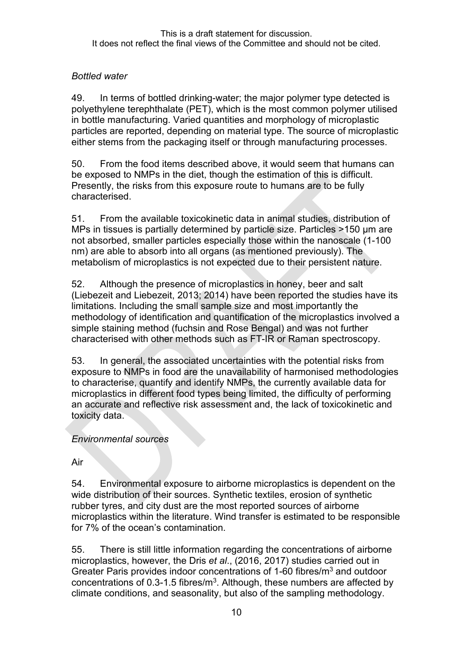# *Bottled water*

49. In terms of bottled drinking-water; the major polymer type detected is polyethylene terephthalate (PET), which is the most common polymer utilised in bottle manufacturing. Varied quantities and morphology of microplastic particles are reported, depending on material type. The source of microplastic either stems from the packaging itself or through manufacturing processes.

50. From the food items described above, it would seem that humans can be exposed to NMPs in the diet, though the estimation of this is difficult. Presently, the risks from this exposure route to humans are to be fully characterised.

51. From the available toxicokinetic data in animal studies, distribution of MPs in tissues is partially determined by particle size. Particles >150 μm are not absorbed, smaller particles especially those within the nanoscale (1-100 nm) are able to absorb into all organs (as mentioned previously). The metabolism of microplastics is not expected due to their persistent nature.

52. Although the presence of microplastics in honey, beer and salt (Liebezeit and Liebezeit, 2013; 2014) have been reported the studies have its limitations. Including the small sample size and most importantly the methodology of identification and quantification of the microplastics involved a simple staining method (fuchsin and Rose Bengal) and was not further characterised with other methods such as FT-IR or Raman spectroscopy.

53. In general, the associated uncertainties with the potential risks from exposure to NMPs in food are the unavailability of harmonised methodologies to characterise, quantify and identify NMPs, the currently available data for microplastics in different food types being limited, the difficulty of performing an accurate and reflective risk assessment and, the lack of toxicokinetic and toxicity data.

#### *Environmental sources*

Air

54. Environmental exposure to airborne microplastics is dependent on the wide distribution of their sources. Synthetic textiles, erosion of synthetic rubber tyres, and city dust are the most reported sources of airborne microplastics within the literature. Wind transfer is estimated to be responsible for 7% of the ocean's contamination.

55. There is still little information regarding the concentrations of airborne microplastics, however, the Dris *et al*., (2016, 2017) studies carried out in Greater Paris provides indoor concentrations of 1-60 fibres/m<sup>3</sup> and outdoor concentrations of 0.3-1.5 fibres/m<sup>3</sup>. Although, these numbers are affected by climate conditions, and seasonality, but also of the sampling methodology.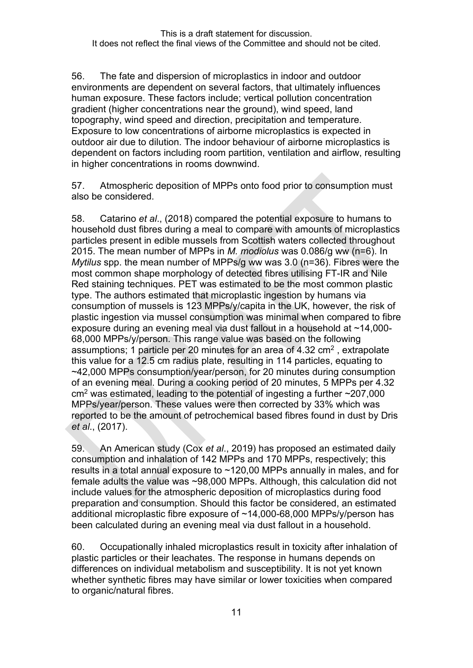56. The fate and dispersion of microplastics in indoor and outdoor environments are dependent on several factors, that ultimately influences human exposure. These factors include; vertical pollution concentration gradient (higher concentrations near the ground), wind speed, land topography, wind speed and direction, precipitation and temperature. Exposure to low concentrations of airborne microplastics is expected in outdoor air due to dilution. The indoor behaviour of airborne microplastics is dependent on factors including room partition, ventilation and airflow, resulting in higher concentrations in rooms downwind.

57. Atmospheric deposition of MPPs onto food prior to consumption must also be considered.

58. Catarino *et al*., (2018) compared the potential exposure to humans to household dust fibres during a meal to compare with amounts of microplastics particles present in edible mussels from Scottish waters collected throughout 2015. The mean number of MPPs in *M. modiolus* was 0.086/g ww (n=6). In *Mytilus* spp. the mean number of MPPs/g ww was 3.0 (n=36). Fibres were the most common shape morphology of detected fibres utilising FT-IR and Nile Red staining techniques. PET was estimated to be the most common plastic type. The authors estimated that microplastic ingestion by humans via consumption of mussels is 123 MPPs/y/capita in the UK, however, the risk of plastic ingestion via mussel consumption was minimal when compared to fibre exposure during an evening meal via dust fallout in a household at ~14,000- 68,000 MPPs/y/person. This range value was based on the following assumptions; 1 particle per 20 minutes for an area of 4.32  $\text{cm}^2$ , extrapolate this value for a 12.5 cm radius plate, resulting in 114 particles, equating to ~42,000 MPPs consumption/year/person, for 20 minutes during consumption of an evening meal. During a cooking period of 20 minutes, 5 MPPs per 4.32  $\text{cm}^2$  was estimated, leading to the potential of ingesting a further  $\sim$ 207,000 MPPs/year/person. These values were then corrected by 33% which was reported to be the amount of petrochemical based fibres found in dust by Dris *et al*., (2017).

59. An American study (Cox *et al*., 2019) has proposed an estimated daily consumption and inhalation of 142 MPPs and 170 MPPs, respectively; this results in a total annual exposure to ~120,00 MPPs annually in males, and for female adults the value was ~98,000 MPPs. Although, this calculation did not include values for the atmospheric deposition of microplastics during food preparation and consumption. Should this factor be considered, an estimated additional microplastic fibre exposure of ~14,000-68,000 MPPs/y/person has been calculated during an evening meal via dust fallout in a household.

60. Occupationally inhaled microplastics result in toxicity after inhalation of plastic particles or their leachates. The response in humans depends on differences on individual metabolism and susceptibility. It is not yet known whether synthetic fibres may have similar or lower toxicities when compared to organic/natural fibres.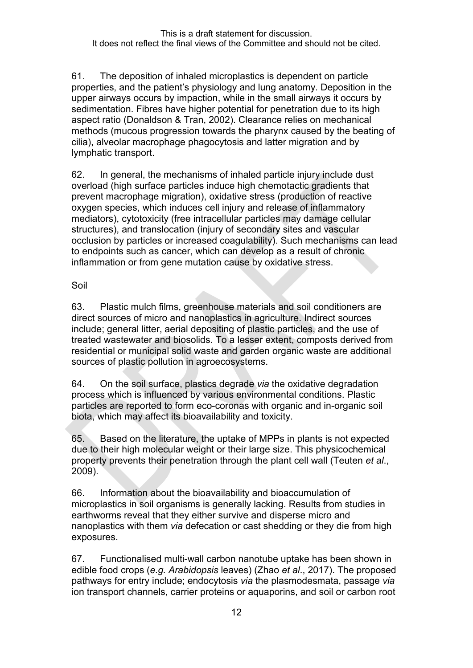61. The deposition of inhaled microplastics is dependent on particle properties, and the patient's physiology and lung anatomy. Deposition in the upper airways occurs by impaction, while in the small airways it occurs by sedimentation. Fibres have higher potential for penetration due to its high aspect ratio (Donaldson & Tran, 2002). Clearance relies on mechanical methods (mucous progression towards the pharynx caused by the beating of cilia), alveolar macrophage phagocytosis and latter migration and by lymphatic transport.

62. In general, the mechanisms of inhaled particle injury include dust overload (high surface particles induce high chemotactic gradients that prevent macrophage migration), oxidative stress (production of reactive oxygen species, which induces cell injury and release of inflammatory mediators), cytotoxicity (free intracellular particles may damage cellular structures), and translocation (injury of secondary sites and vascular occlusion by particles or increased coagulability). Such mechanisms can lead to endpoints such as cancer, which can develop as a result of chronic inflammation or from gene mutation cause by oxidative stress.

Soil

63. Plastic mulch films, greenhouse materials and soil conditioners are direct sources of micro and nanoplastics in agriculture. Indirect sources include; general litter, aerial depositing of plastic particles, and the use of treated wastewater and biosolids. To a lesser extent, composts derived from residential or municipal solid waste and garden organic waste are additional sources of plastic pollution in agroecosystems.

64. On the soil surface, plastics degrade *via* the oxidative degradation process which is influenced by various environmental conditions. Plastic particles are reported to form eco-coronas with organic and in-organic soil biota, which may affect its bioavailability and toxicity.

65. Based on the literature, the uptake of MPPs in plants is not expected due to their high molecular weight or their large size. This physicochemical property prevents their penetration through the plant cell wall (Teuten *et al*., 2009).

66. Information about the bioavailability and bioaccumulation of microplastics in soil organisms is generally lacking. Results from studies in earthworms reveal that they either survive and disperse micro and nanoplastics with them *via* defecation or cast shedding or they die from high exposures.

67. Functionalised multi-wall carbon nanotube uptake has been shown in edible food crops (*e.g. Arabidopsis* leaves) (Zhao *et al*., 2017). The proposed pathways for entry include; endocytosis *via* the plasmodesmata, passage *via* ion transport channels, carrier proteins or aquaporins, and soil or carbon root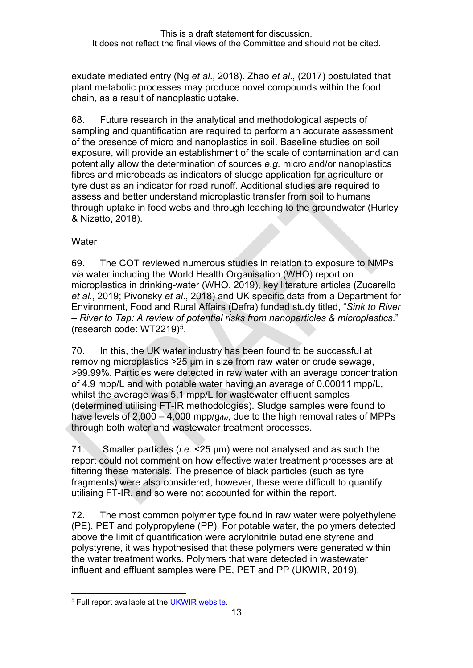exudate mediated entry (Ng *et al*., 2018). Zhao *et al*., (2017) postulated that plant metabolic processes may produce novel compounds within the food chain, as a result of nanoplastic uptake.

68. Future research in the analytical and methodological aspects of sampling and quantification are required to perform an accurate assessment of the presence of micro and nanoplastics in soil. Baseline studies on soil exposure, will provide an establishment of the scale of contamination and can potentially allow the determination of sources *e.g.* micro and/or nanoplastics fibres and microbeads as indicators of sludge application for agriculture or tyre dust as an indicator for road runoff. Additional studies are required to assess and better understand microplastic transfer from soil to humans through uptake in food webs and through leaching to the groundwater (Hurley & Nizetto, 2018).

#### **Water**

69. The COT reviewed numerous studies in relation to exposure to NMPs *via* water including the World Health Organisation (WHO) report on microplastics in drinking-water (WHO, 2019), key literature articles (Zucarello *et al*., 2019; Pivonsky *et al*., 2018) and UK specific data from a Department for Environment, Food and Rural Affairs (Defra) funded study titled, "*Sink to River – River to Tap: A review of potential risks from nanoparticles & microplastics*." (research code: WT2219)[5](#page-12-0).

70. In this, the UK water industry has been found to be successful at removing microplastics >25 µm in size from raw water or crude sewage, >99.99%. Particles were detected in raw water with an average concentration of 4.9 mpp/L and with potable water having an average of 0.00011 mpp/L, whilst the average was 5.1 mpp/L for wastewater effluent samples (determined utilising FT-IR methodologies). Sludge samples were found to have levels of  $2,000 - 4,000$  mpp/g<sub>dw</sub>, due to the high removal rates of MPPs through both water and wastewater treatment processes.

71. Smaller particles (*i.e.* <25 µm) were not analysed and as such the report could not comment on how effective water treatment processes are at filtering these materials. The presence of black particles (such as tyre fragments) were also considered, however, these were difficult to quantify utilising FT-IR, and so were not accounted for within the report.

72. The most common polymer type found in raw water were polyethylene (PE), PET and polypropylene (PP). For potable water, the polymers detected above the limit of quantification were acrylonitrile butadiene styrene and polystyrene, it was hypothesised that these polymers were generated within the water treatment works. Polymers that were detected in wastewater influent and effluent samples were PE, PET and PP (UKWIR, 2019).

<span id="page-12-0"></span><sup>5</sup> Full report available at the [UKWIR website.](https://ukwir.org/view/$NvDnwfm!)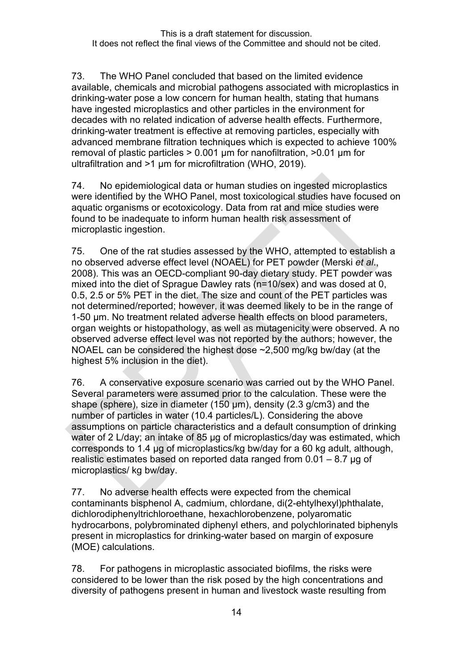<span id="page-13-0"></span>73. The WHO Panel concluded that based on the limited evidence available, chemicals and microbial pathogens associated with microplastics in drinking-water pose a low concern for human health, stating that humans have ingested microplastics and other particles in the environment for decades with no related indication of adverse health effects. Furthermore, drinking-water treatment is effective at removing particles, especially with advanced membrane filtration techniques which is expected to achieve 100% removal of plastic particles > 0.001 µm for nanofiltration, >0.01 μm for ultrafiltration and >1 μm for microfiltration (WHO, 2019).

74. No epidemiological data or human studies on ingested microplastics were identified by the WHO Panel, most toxicological studies have focused on aquatic organisms or ecotoxicology. Data from rat and mice studies were found to be inadequate to inform human health risk assessment of microplastic ingestion.

<span id="page-13-1"></span>75. One of the rat studies assessed by the WHO, attempted to establish a no observed adverse effect level (NOAEL) for PET powder (Merski *et al*., 2008). This was an OECD-compliant 90-day dietary study. PET powder was mixed into the diet of Sprague Dawley rats (n=10/sex) and was dosed at 0, 0.5, 2.5 or 5% PET in the diet. The size and count of the PET particles was not determined/reported; however, it was deemed likely to be in the range of 1-50 µm. No treatment related adverse health effects on blood parameters, organ weights or histopathology, as well as mutagenicity were observed. A no observed adverse effect level was not reported by the authors; however, the NOAEL can be considered the highest dose ~2,500 mg/kg bw/day (at the highest 5% inclusion in the diet).

76. A conservative exposure scenario was carried out by the WHO Panel. Several parameters were assumed prior to the calculation. These were the shape (sphere), size in diameter (150 µm), density (2.3 g/cm3) and the number of particles in water (10.4 particles/L). Considering the above assumptions on particle characteristics and a default consumption of drinking water of 2 L/day; an intake of 85 µg of microplastics/day was estimated, which corresponds to 1.4 µg of microplastics/kg bw/day for a 60 kg adult, although, realistic estimates based on reported data ranged from 0.01 – 8.7 µg of microplastics/ kg bw/day.

77. No adverse health effects were expected from the chemical contaminants bisphenol A, cadmium, chlordane, di(2-ehtylhexyl)phthalate, dichlorodiphenyltrichloroethane, hexachlorobenzene, polyaromatic hydrocarbons, polybrominated diphenyl ethers, and polychlorinated biphenyls present in microplastics for drinking-water based on margin of exposure (MOE) calculations.

78. For pathogens in microplastic associated biofilms, the risks were considered to be lower than the risk posed by the high concentrations and diversity of pathogens present in human and livestock waste resulting from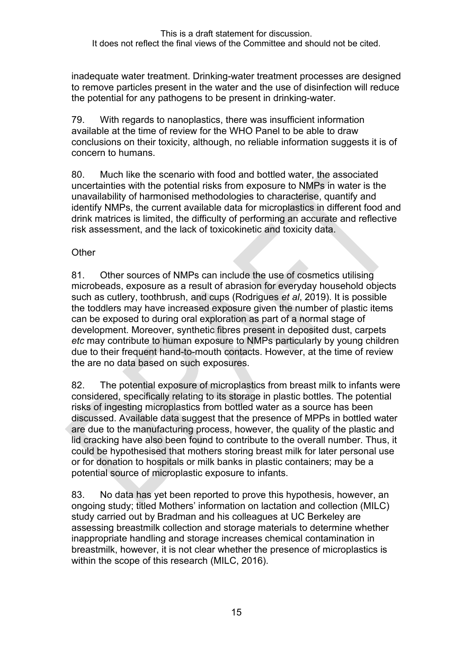inadequate water treatment. Drinking-water treatment processes are designed to remove particles present in the water and the use of disinfection will reduce the potential for any pathogens to be present in drinking-water.

<span id="page-14-0"></span>79. With regards to nanoplastics, there was insufficient information available at the time of review for the WHO Panel to be able to draw conclusions on their toxicity, although, no reliable information suggests it is of concern to humans.

80. Much like the scenario with food and bottled water, the associated uncertainties with the potential risks from exposure to NMPs in water is the unavailability of harmonised methodologies to characterise, quantify and identify NMPs, the current available data for microplastics in different food and drink matrices is limited, the difficulty of performing an accurate and reflective risk assessment, and the lack of toxicokinetic and toxicity data.

#### **Other**

81. Other sources of NMPs can include the use of cosmetics utilising microbeads, exposure as a result of abrasion for everyday household objects such as cutlery, toothbrush, and cups (Rodrigues *et al*, 2019). It is possible the toddlers may have increased exposure given the number of plastic items can be exposed to during oral exploration as part of a normal stage of development. Moreover, synthetic fibres present in deposited dust, carpets *etc* may contribute to human exposure to NMPs particularly by young children due to their frequent hand-to-mouth contacts. However, at the time of review the are no data based on such exposures.

82. The potential exposure of microplastics from breast milk to infants were considered, specifically relating to its storage in plastic bottles. The potential risks of ingesting microplastics from bottled water as a source has been discussed. Available data suggest that the presence of MPPs in bottled water are due to the manufacturing process, however, the quality of the plastic and lid cracking have also been found to contribute to the overall number. Thus, it could be hypothesised that mothers storing breast milk for later personal use or for donation to hospitals or milk banks in plastic containers; may be a potential source of microplastic exposure to infants.

83. No data has yet been reported to prove this hypothesis, however, an ongoing study; titled Mothers' information on lactation and collection (MILC) study carried out by Bradman and his colleagues at UC Berkeley are assessing breastmilk collection and storage materials to determine whether inappropriate handling and storage increases chemical contamination in breastmilk, however, it is not clear whether the presence of microplastics is within the scope of this research (MILC, 2016).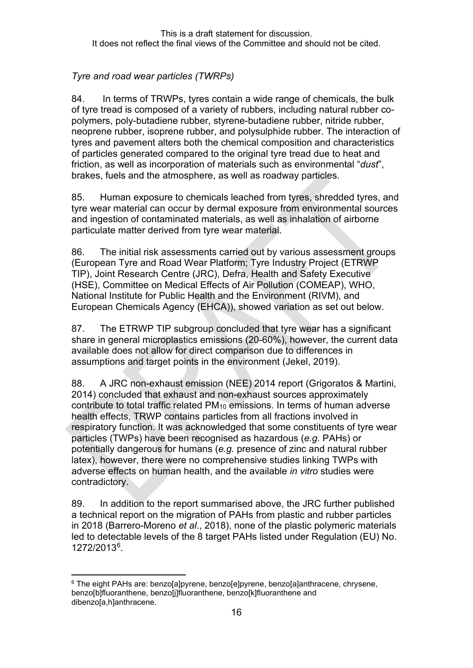# *Tyre and road wear particles (TWRPs)*

84. In terms of TRWPs, tyres contain a wide range of chemicals, the bulk of tyre tread is composed of a variety of rubbers, including natural rubber copolymers, poly-butadiene rubber, styrene-butadiene rubber, nitride rubber, neoprene rubber, isoprene rubber, and polysulphide rubber. The interaction of tyres and pavement alters both the chemical composition and characteristics of particles generated compared to the original tyre tread due to heat and friction, as well as incorporation of materials such as environmental "*dust*", brakes, fuels and the atmosphere, as well as roadway particles.

85. Human exposure to chemicals leached from tyres, shredded tyres, and tyre wear material can occur by dermal exposure from environmental sources and ingestion of contaminated materials, as well as inhalation of airborne particulate matter derived from tyre wear material.

86. The initial risk assessments carried out by various assessment groups (European Tyre and Road Wear Platform; Tyre Industry Project (ETRWP TIP), Joint Research Centre (JRC), Defra, Health and Safety Executive (HSE), Committee on Medical Effects of Air Pollution (COMEAP), WHO, National Institute for Public Health and the Environment (RIVM), and European Chemicals Agency (EHCA)), showed variation as set out below.

87. The ETRWP TIP subgroup concluded that tyre wear has a significant share in general microplastics emissions (20-60%), however, the current data available does not allow for direct comparison due to differences in assumptions and target points in the environment (Jekel, 2019).

88. A JRC non-exhaust emission (NEE) 2014 report (Grigoratos & Martini, 2014) concluded that exhaust and non-exhaust sources approximately contribute to total traffic related PM10 emissions. In terms of human adverse health effects, TRWP contains particles from all fractions involved in respiratory function. It was acknowledged that some constituents of tyre wear particles (TWPs) have been recognised as hazardous (*e.g.* PAHs) or potentially dangerous for humans (*e.g.* presence of zinc and natural rubber latex), however, there were no comprehensive studies linking TWPs with adverse effects on human health, and the available *in vitro* studies were contradictory.

89. In addition to the report summarised above, the JRC further published a technical report on the migration of PAHs from plastic and rubber particles in 2018 (Barrero-Moreno *et al*., 2018), none of the plastic polymeric materials led to detectable levels of the 8 target PAHs listed under Regulation (EU) No. 1272/2013[6.](#page-15-0)

<span id="page-15-0"></span><sup>6</sup> The eight PAHs are: benzo[a]pyrene, benzo[e]pyrene, benzo[a]anthracene, chrysene, benzo[b]fluoranthene, benzo[j]fluoranthene, benzo[k]fluoranthene and dibenzo[a,h]anthracene.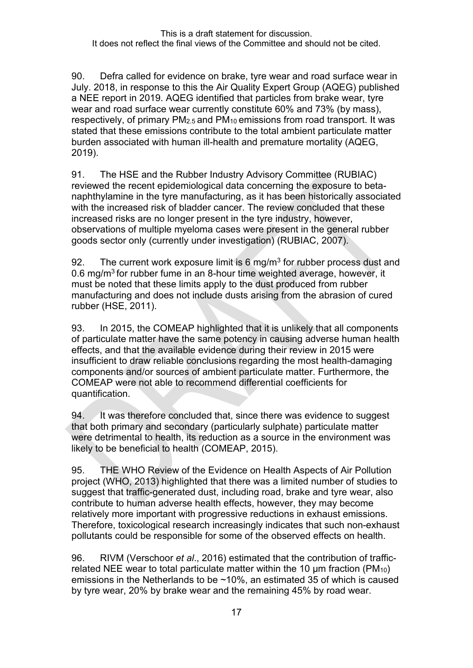90. Defra called for evidence on brake, tyre wear and road surface wear in July. 2018, in response to this the Air Quality Expert Group (AQEG) published a NEE report in 2019. AQEG identified that particles from brake wear, tyre wear and road surface wear currently constitute 60% and 73% (by mass), respectively, of primary PM2.5 and PM10 emissions from road transport. It was stated that these emissions contribute to the total ambient particulate matter burden associated with human ill-health and premature mortality (AQEG, 2019).

91. The HSE and the Rubber Industry Advisory Committee (RUBIAC) reviewed the recent epidemiological data concerning the exposure to betanaphthylamine in the tyre manufacturing, as it has been historically associated with the increased risk of bladder cancer. The review concluded that these increased risks are no longer present in the tyre industry, however, observations of multiple myeloma cases were present in the general rubber goods sector only (currently under investigation) (RUBIAC, 2007).

92. The current work exposure limit is 6 mg/m<sup>3</sup> for rubber process dust and 0.6 mg/m3 for rubber fume in an 8-hour time weighted average, however, it must be noted that these limits apply to the dust produced from rubber manufacturing and does not include dusts arising from the abrasion of cured rubber (HSE, 2011).

93. In 2015, the COMEAP highlighted that it is unlikely that all components of particulate matter have the same potency in causing adverse human health effects, and that the available evidence during their review in 2015 were insufficient to draw reliable conclusions regarding the most health-damaging components and/or sources of ambient particulate matter. Furthermore, the COMEAP were not able to recommend differential coefficients for quantification.

94. It was therefore concluded that, since there was evidence to suggest that both primary and secondary (particularly sulphate) particulate matter were detrimental to health, its reduction as a source in the environment was likely to be beneficial to health (COMEAP, 2015).

95. THE WHO Review of the Evidence on Health Aspects of Air Pollution project (WHO, 2013) highlighted that there was a limited number of studies to suggest that traffic-generated dust, including road, brake and tyre wear, also contribute to human adverse health effects, however, they may become relatively more important with progressive reductions in exhaust emissions. Therefore, toxicological research increasingly indicates that such non-exhaust pollutants could be responsible for some of the observed effects on health.

96. RIVM (Verschoor *et al*., 2016) estimated that the contribution of trafficrelated NEE wear to total particulate matter within the 10  $\mu$ m fraction (PM<sub>10</sub>) emissions in the Netherlands to be ~10%, an estimated 35 of which is caused by tyre wear, 20% by brake wear and the remaining 45% by road wear.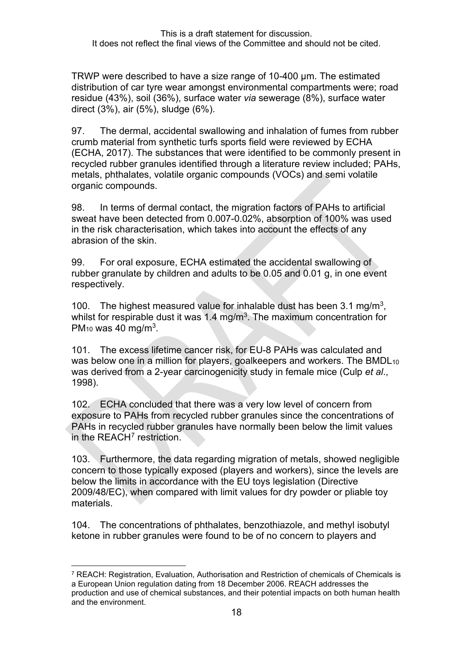TRWP were described to have a size range of 10-400 µm. The estimated distribution of car tyre wear amongst environmental compartments were; road residue (43%), soil (36%), surface water *via* sewerage (8%), surface water direct (3%), air (5%), sludge (6%).

97. The dermal, accidental swallowing and inhalation of fumes from rubber crumb material from synthetic turfs sports field were reviewed by ECHA (ECHA, 2017). The substances that were identified to be commonly present in recycled rubber granules identified through a literature review included; PAHs, metals, phthalates, volatile organic compounds (VOCs) and semi volatile organic compounds.

98. In terms of dermal contact, the migration factors of PAHs to artificial sweat have been detected from 0.007-0.02%, absorption of 100% was used in the risk characterisation, which takes into account the effects of any abrasion of the skin.

99. For oral exposure, ECHA estimated the accidental swallowing of rubber granulate by children and adults to be 0.05 and 0.01 g, in one event respectively.

100. The highest measured value for inhalable dust has been 3.1 mg/m3, whilst for respirable dust it was  $1.4 \text{ mg/m}^3$ . The maximum concentration for PM<sub>10</sub> was 40 mg/m<sup>3</sup>.

101. The excess lifetime cancer risk, for EU-8 PAHs was calculated and was below one in a million for players, goalkeepers and workers. The BMDL<sub>10</sub> was derived from a 2-year carcinogenicity study in female mice (Culp *et al*., 1998).

102. ECHA concluded that there was a very low level of concern from exposure to PAHs from recycled rubber granules since the concentrations of PAHs in recycled rubber granules have normally been below the limit values in the REACH<sup>[7](#page-17-0)</sup> restriction.

103. Furthermore, the data regarding migration of metals, showed negligible concern to those typically exposed (players and workers), since the levels are below the limits in accordance with the EU toys legislation (Directive 2009/48/EC), when compared with limit values for dry powder or pliable toy materials.

104. The concentrations of phthalates, benzothiazole, and methyl isobutyl ketone in rubber granules were found to be of no concern to players and

<span id="page-17-0"></span><sup>7</sup> REACH: Registration, Evaluation, Authorisation and Restriction of chemicals of Chemicals is a European Union regulation dating from 18 December 2006. REACH addresses the production and use of chemical substances, and their potential impacts on both human health and the environment.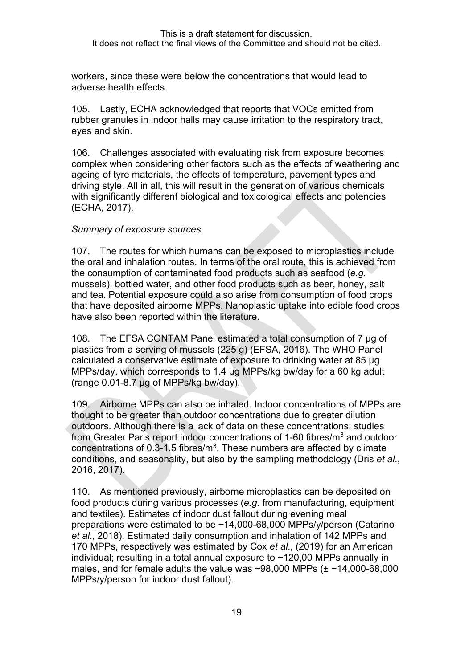workers, since these were below the concentrations that would lead to adverse health effects.

105. Lastly, ECHA acknowledged that reports that VOCs emitted from rubber granules in indoor halls may cause irritation to the respiratory tract, eyes and skin.

106. Challenges associated with evaluating risk from exposure becomes complex when considering other factors such as the effects of weathering and ageing of tyre materials, the effects of temperature, pavement types and driving style. All in all, this will result in the generation of various chemicals with significantly different biological and toxicological effects and potencies (ECHA, 2017).

#### *Summary of exposure sources*

107. The routes for which humans can be exposed to microplastics include the oral and inhalation routes. In terms of the oral route, this is achieved from the consumption of contaminated food products such as seafood (*e.g.* mussels), bottled water, and other food products such as beer, honey, salt and tea. Potential exposure could also arise from consumption of food crops that have deposited airborne MPPs. Nanoplastic uptake into edible food crops have also been reported within the literature.

108. The EFSA CONTAM Panel estimated a total consumption of 7 µg of plastics from a serving of mussels (225 g) (EFSA, 2016). The WHO Panel calculated a conservative estimate of exposure to drinking water at 85 µg MPPs/day, which corresponds to 1.4 µg MPPs/kg bw/day for a 60 kg adult (range 0.01-8.7 µg of MPPs/kg bw/day).

109. Airborne MPPs can also be inhaled. Indoor concentrations of MPPs are thought to be greater than outdoor concentrations due to greater dilution outdoors. Although there is a lack of data on these concentrations; studies from Greater Paris report indoor concentrations of 1-60 fibres/ $m<sup>3</sup>$  and outdoor concentrations of 0.3-1.5 fibres/ $m<sup>3</sup>$ . These numbers are affected by climate conditions, and seasonality, but also by the sampling methodology (Dris *et al*., 2016, 2017).

110. As mentioned previously, airborne microplastics can be deposited on food products during various processes (*e.g.* from manufacturing, equipment and textiles). Estimates of indoor dust fallout during evening meal preparations were estimated to be ~14,000-68,000 MPPs/y/person (Catarino *et al*., 2018). Estimated daily consumption and inhalation of 142 MPPs and 170 MPPs, respectively was estimated by Cox *et al*., (2019) for an American individual; resulting in a total annual exposure to ~120,00 MPPs annually in males, and for female adults the value was  $\sim$ 98,000 MPPs ( $\pm \sim$ 14,000-68,000 MPPs/y/person for indoor dust fallout).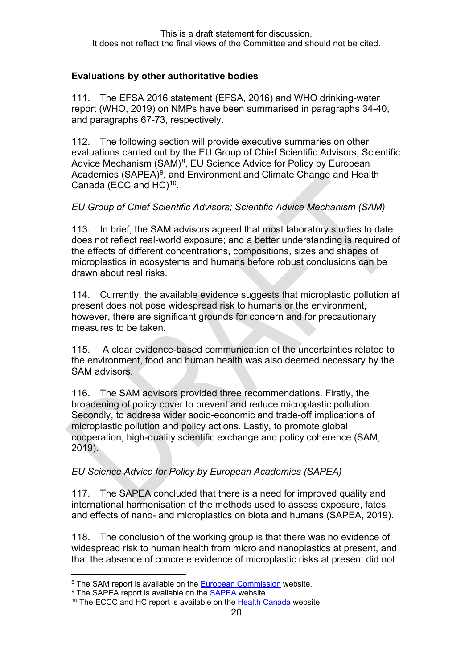### **Evaluations by other authoritative bodies**

111. The EFSA 2016 statement (EFSA, 2016) and WHO drinking-water report (WHO, 2019) on NMPs have been summarised in paragraphs [34](#page-8-0)[-40,](#page-8-1) and paragraphs [67](#page-13-0)[-73,](#page-14-0) respectively.

112. The following section will provide executive summaries on other evaluations carried out by the EU Group of Chief Scientific Advisors; Scientific Advice Mechanism  $(SAM)^8$  $(SAM)^8$ , EU Science Advice for Policy by European Academies (SAPEA)<sup>9</sup>, and Environment and Climate Change and Health Canada (ECC and HC)<sup>[10](#page-19-2)</sup>.

## *EU Group of Chief Scientific Advisors; Scientific Advice Mechanism (SAM)*

113. In brief, the SAM advisors agreed that most laboratory studies to date does not reflect real-world exposure; and a better understanding is required of the effects of different concentrations, compositions, sizes and shapes of microplastics in ecosystems and humans before robust conclusions can be drawn about real risks.

114. Currently, the available evidence suggests that microplastic pollution at present does not pose widespread risk to humans or the environment, however, there are significant grounds for concern and for precautionary measures to be taken.

115. A clear evidence-based communication of the uncertainties related to the environment, food and human health was also deemed necessary by the SAM advisors.

116. The SAM advisors provided three recommendations. Firstly, the broadening of policy cover to prevent and reduce microplastic pollution. Secondly, to address wider socio-economic and trade-off implications of microplastic pollution and policy actions. Lastly, to promote global cooperation, high-quality scientific exchange and policy coherence (SAM, 2019).

# *EU Science Advice for Policy by European Academies (SAPEA)*

117. The SAPEA concluded that there is a need for improved quality and international harmonisation of the methods used to assess exposure, fates and effects of nano- and microplastics on biota and humans (SAPEA, 2019).

118. The conclusion of the working group is that there was no evidence of widespread risk to human health from micro and nanoplastics at present, and that the absence of concrete evidence of microplastic risks at present did not

<span id="page-19-0"></span><sup>&</sup>lt;sup>8</sup> The SAM report is available on the [European Commission](https://ec.europa.eu/info/sites/info/files/research_and_innovation/groups/sam/ec_rtd_sam-mnp-opinion_042019.pdf) website.

<span id="page-19-1"></span><sup>&</sup>lt;sup>9</sup> The [SAPEA](https://www.sapea.info/topics/microplastics/) report is available on the **SAPEA** website.

<span id="page-19-2"></span><sup>&</sup>lt;sup>10</sup> The ECCC and HC report is available on the [Health Canada](https://www.canada.ca/en/health-canada/services/chemical-substances/fact-sheets/chemicals-glance/plastic-pollution.html) website.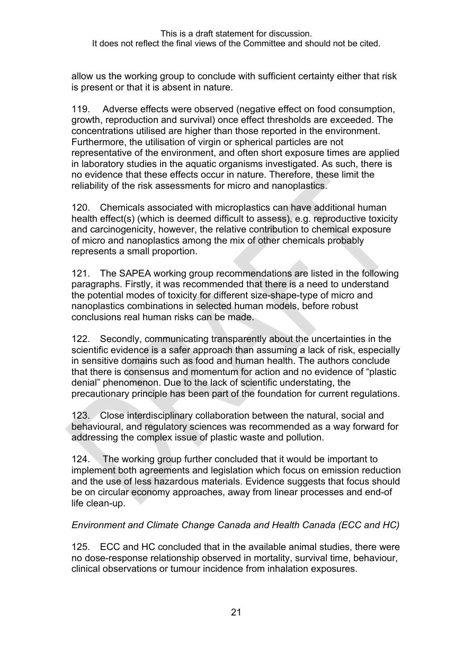allow us the working group to conclude with sufficient certainty either that risk is present or that it is absent in nature.

119. Adverse effects were observed (negative effect on food consumption, growth, reproduction and survival) once effect thresholds are exceeded. The concentrations utilised are higher than those reported in the environment. Furthermore, the utilisation of virgin or spherical particles are not representative of the environment, and often short exposure times are applied in laboratory studies in the aquatic organisms investigated. As such, there is no evidence that these effects occur in nature. Therefore, these limit the reliability of the risk assessments for micro and nanoplastics.

120. Chemicals associated with microplastics can have additional human health effect(s) (which is deemed difficult to assess), e.g. reproductive toxicity and carcinogenicity, however, the relative contribution to chemical exposure of micro and nanoplastics among the mix of other chemicals probably represents a small proportion.

121. The SAPEA working group recommendations are listed in the following paragraphs. Firstly, it was recommended that there is a need to understand the potential modes of toxicity for different size-shape-type of micro and nanoplastics combinations in selected human models, before robust conclusions real human risks can be made.

122. Secondly, communicating transparently about the uncertainties in the scientific evidence is a safer approach than assuming a lack of risk, especially in sensitive domains such as food and human health. The authors conclude that there is consensus and momentum for action and no evidence of "plastic denial" phenomenon. Due to the lack of scientific understating, the precautionary principle has been part of the foundation for current regulations.

123. Close interdisciplinary collaboration between the natural, social and behavioural, and regulatory sciences was recommended as a way forward for addressing the complex issue of plastic waste and pollution.

124. The working group further concluded that it would be important to implement both agreements and legislation which focus on emission reduction and the use of less hazardous materials. Evidence suggests that focus should be on circular economy approaches, away from linear processes and end-of life clean-up.

#### *Environment and Climate Change Canada and Health Canada (ECC and HC)*

125. ECC and HC concluded that in the available animal studies, there were no dose-response relationship observed in mortality, survival time, behaviour, clinical observations or tumour incidence from inhalation exposures.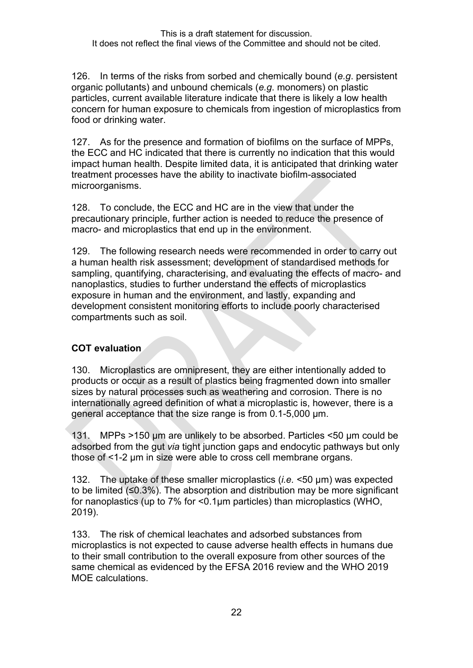126. In terms of the risks from sorbed and chemically bound (*e.g*. persistent organic pollutants) and unbound chemicals (*e.g*. monomers) on plastic particles, current available literature indicate that there is likely a low health concern for human exposure to chemicals from ingestion of microplastics from food or drinking water.

127. As for the presence and formation of biofilms on the surface of MPPs, the ECC and HC indicated that there is currently no indication that this would impact human health. Despite limited data, it is anticipated that drinking water treatment processes have the ability to inactivate biofilm-associated microorganisms.

128. To conclude, the ECC and HC are in the view that under the precautionary principle, further action is needed to reduce the presence of macro- and microplastics that end up in the environment.

129. The following research needs were recommended in order to carry out a human health risk assessment; development of standardised methods for sampling, quantifying, characterising, and evaluating the effects of macro- and nanoplastics, studies to further understand the effects of microplastics exposure in human and the environment, and lastly, expanding and development consistent monitoring efforts to include poorly characterised compartments such as soil.

#### **COT evaluation**

130. Microplastics are omnipresent, they are either intentionally added to products or occur as a result of plastics being fragmented down into smaller sizes by natural processes such as weathering and corrosion. There is no internationally agreed definition of what a microplastic is, however, there is a general acceptance that the size range is from 0.1-5,000 µm.

131. MPPs >150 μm are unlikely to be absorbed. Particles <50 µm could be adsorbed from the gut *via* tight junction gaps and endocytic pathways but only those of <1-2 µm in size were able to cross cell membrane organs.

132. The uptake of these smaller microplastics (*i.e.* <50 µm) was expected to be limited (≤0.3%). The absorption and distribution may be more significant for nanoplastics (up to 7% for <0.1μm particles) than microplastics (WHO, 2019).

133. The risk of chemical leachates and adsorbed substances from microplastics is not expected to cause adverse health effects in humans due to their small contribution to the overall exposure from other sources of the same chemical as evidenced by the EFSA 2016 review and the WHO 2019 MOE calculations.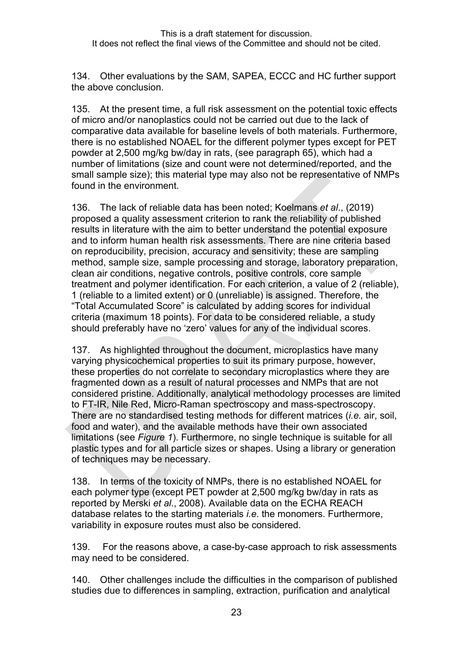134. Other evaluations by the SAM, SAPEA, ECCC and HC further support the above conclusion.

135. At the present time, a full risk assessment on the potential toxic effects of micro and/or nanoplastics could not be carried out due to the lack of comparative data available for baseline levels of both materials. Furthermore, there is no established NOAEL for the different polymer types except for PET powder at 2,500 mg/kg bw/day in rats, (see paragraph [65\)](#page-13-1), which had a number of limitations (size and count were not determined/reported, and the small sample size); this material type may also not be representative of NMPs found in the environment.

136. The lack of reliable data has been noted; Koelmans *et al*., (2019) proposed a quality assessment criterion to rank the reliability of published results in literature with the aim to better understand the potential exposure and to inform human health risk assessments. There are nine criteria based on reproducibility, precision, accuracy and sensitivity; these are sampling method, sample size, sample processing and storage, laboratory preparation, clean air conditions, negative controls, positive controls, core sample treatment and polymer identification. For each criterion, a value of 2 (reliable), 1 (reliable to a limited extent) or 0 (unreliable) is assigned. Therefore, the "Total Accumulated Score" is calculated by adding scores for individual criteria (maximum 18 points). For data to be considered reliable, a study should preferably have no 'zero' values for any of the individual scores.

137. As highlighted throughout the document, microplastics have many varying physicochemical properties to suit its primary purpose, however, these properties do not correlate to secondary microplastics where they are fragmented down as a result of natural processes and NMPs that are not considered pristine. Additionally, analytical methodology processes are limited to FT-IR, Nile Red, Micro-Raman spectroscopy and mass-spectroscopy. There are no standardised testing methods for different matrices (*i.e.* air, soil, food and water), and the available methods have their own associated limitations (see *[Figure 1](#page-7-1)*). Furthermore, no single technique is suitable for all plastic types and for all particle sizes or shapes. Using a library or generation of techniques may be necessary.

138. In terms of the toxicity of NMPs, there is no established NOAEL for each polymer type (except PET powder at 2,500 mg/kg bw/day in rats as reported by Merski *et al*., 2008). Available data on the ECHA REACH database relates to the starting materials *i.e*. the monomers. Furthermore, variability in exposure routes must also be considered.

139. For the reasons above, a case-by-case approach to risk assessments may need to be considered.

140. Other challenges include the difficulties in the comparison of published studies due to differences in sampling, extraction, purification and analytical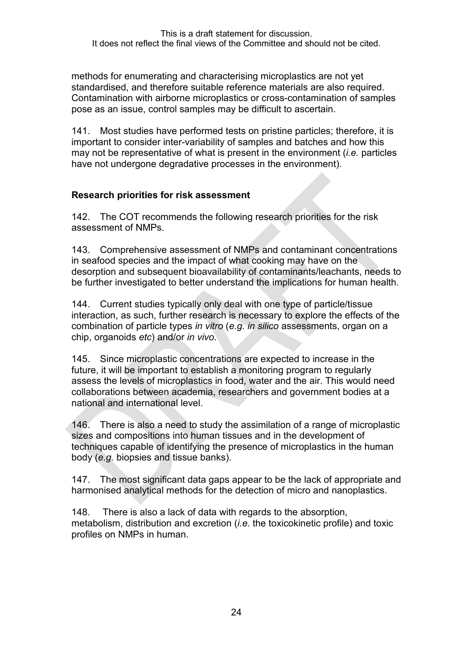methods for enumerating and characterising microplastics are not yet standardised, and therefore suitable reference materials are also required. Contamination with airborne microplastics or cross-contamination of samples pose as an issue, control samples may be difficult to ascertain.

141. Most studies have performed tests on pristine particles; therefore, it is important to consider inter-variability of samples and batches and how this may not be representative of what is present in the environment (*i.e.* particles have not undergone degradative processes in the environment).

#### **Research priorities for risk assessment**

142. The COT recommends the following research priorities for the risk assessment of NMPs.

143. Comprehensive assessment of NMPs and contaminant concentrations in seafood species and the impact of what cooking may have on the desorption and subsequent bioavailability of contaminants/leachants, needs to be further investigated to better understand the implications for human health.

144. Current studies typically only deal with one type of particle/tissue interaction, as such, further research is necessary to explore the effects of the combination of particle types *in vitro* (*e.g. in silico* assessments, organ on a chip, organoids *etc*) and/or *in vivo*.

145. Since microplastic concentrations are expected to increase in the future, it will be important to establish a monitoring program to regularly assess the levels of microplastics in food, water and the air. This would need collaborations between academia, researchers and government bodies at a national and international level.

146. There is also a need to study the assimilation of a range of microplastic sizes and compositions into human tissues and in the development of techniques capable of identifying the presence of microplastics in the human body (*e.g.* biopsies and tissue banks).

147. The most significant data gaps appear to be the lack of appropriate and harmonised analytical methods for the detection of micro and nanoplastics.

148. There is also a lack of data with regards to the absorption, metabolism, distribution and excretion (*i.e.* the toxicokinetic profile) and toxic profiles on NMPs in human.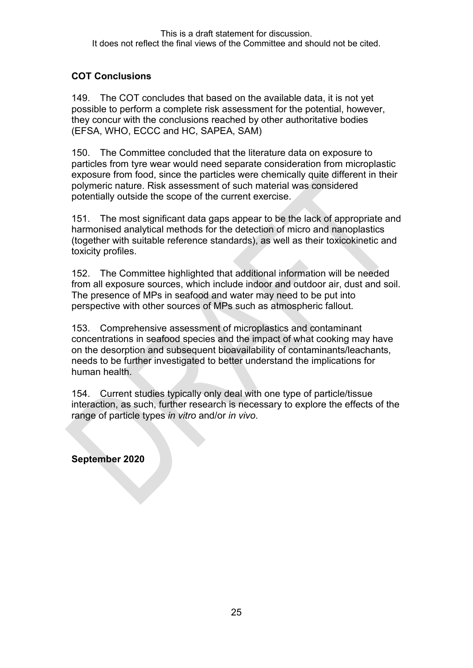# **COT Conclusions**

149. The COT concludes that based on the available data, it is not yet possible to perform a complete risk assessment for the potential, however, they concur with the conclusions reached by other authoritative bodies (EFSA, WHO, ECCC and HC, SAPEA, SAM)

150. The Committee concluded that the literature data on exposure to particles from tyre wear would need separate consideration from microplastic exposure from food, since the particles were chemically quite different in their polymeric nature. Risk assessment of such material was considered potentially outside the scope of the current exercise.

151. The most significant data gaps appear to be the lack of appropriate and harmonised analytical methods for the detection of micro and nanoplastics (together with suitable reference standards), as well as their toxicokinetic and toxicity profiles.

152. The Committee highlighted that additional information will be needed from all exposure sources, which include indoor and outdoor air, dust and soil. The presence of MPs in seafood and water may need to be put into perspective with other sources of MPs such as atmospheric fallout.

153. Comprehensive assessment of microplastics and contaminant concentrations in seafood species and the impact of what cooking may have on the desorption and subsequent bioavailability of contaminants/leachants, needs to be further investigated to better understand the implications for human health.

154. Current studies typically only deal with one type of particle/tissue interaction, as such, further research is necessary to explore the effects of the range of particle types *in vitro* and/or *in vivo*.

**September 2020**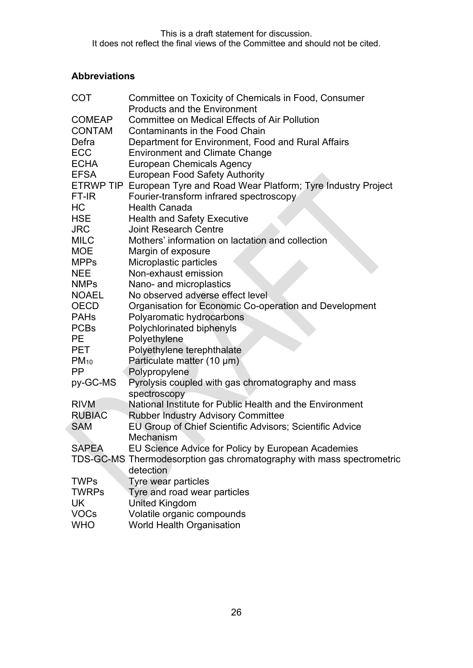# **Abbreviations**

| <b>COT</b>    | Committee on Toxicity of Chemicals in Food, Consumer                  |
|---------------|-----------------------------------------------------------------------|
|               | <b>Products and the Environment</b>                                   |
| <b>COMEAP</b> | <b>Committee on Medical Effects of Air Pollution</b>                  |
| <b>CONTAM</b> | <b>Contaminants in the Food Chain</b>                                 |
| Defra         | Department for Environment, Food and Rural Affairs                    |
| <b>ECC</b>    | <b>Environment and Climate Change</b>                                 |
| <b>ECHA</b>   | <b>European Chemicals Agency</b>                                      |
| <b>EFSA</b>   | <b>European Food Safety Authority</b>                                 |
|               | ETRWP TIP European Tyre and Road Wear Platform; Tyre Industry Project |
| FT-IR         | Fourier-transform infrared spectroscopy                               |
| HC            | <b>Health Canada</b>                                                  |
| HSE           | <b>Health and Safety Executive</b>                                    |
| <b>JRC</b>    | <b>Joint Research Centre</b>                                          |
| <b>MILC</b>   | Mothers' information on lactation and collection                      |
| <b>MOE</b>    | Margin of exposure                                                    |
| <b>MPPs</b>   | Microplastic particles                                                |
| <b>NEE</b>    | Non-exhaust emission                                                  |
| <b>NMPs</b>   | Nano- and microplastics                                               |
| <b>NOAEL</b>  | No observed adverse effect level                                      |
| <b>OECD</b>   | Organisation for Economic Co-operation and Development                |
| <b>PAHs</b>   | Polyaromatic hydrocarbons                                             |
| <b>PCBs</b>   | Polychlorinated biphenyls                                             |
| <b>PE</b>     | Polyethylene                                                          |
| <b>PET</b>    | Polyethylene terephthalate                                            |
| $PM_{10}$     | Particulate matter (10 µm)                                            |
| <b>PP</b>     | Polypropylene                                                         |
| py-GC-MS      | Pyrolysis coupled with gas chromatography and mass                    |
|               | spectroscopy                                                          |
| <b>RIVM</b>   | National Institute for Public Health and the Environment              |
| <b>RUBIAC</b> | <b>Rubber Industry Advisory Committee</b>                             |
| <b>SAM</b>    | EU Group of Chief Scientific Advisors; Scientific Advice              |
|               | Mechanism                                                             |
| <b>SAPEA</b>  | EU Science Advice for Policy by European Academies                    |
|               | TDS-GC-MS Thermodesorption gas chromatography with mass spectrometric |
|               | detection                                                             |
| <b>TWPs</b>   | Tyre wear particles                                                   |
| <b>TWRPs</b>  | Tyre and road wear particles                                          |
| UK            | <b>United Kingdom</b>                                                 |
| <b>VOCs</b>   | Volatile organic compounds                                            |
| <b>WHO</b>    | <b>World Health Organisation</b>                                      |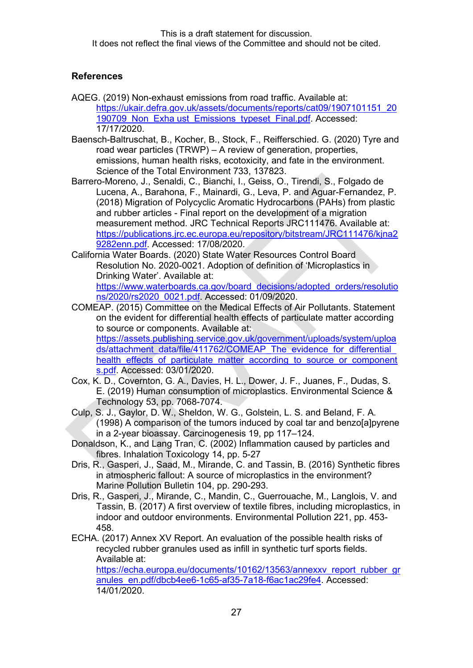#### **References**

- AQEG. (2019) Non-exhaust emissions from road traffic. Available at: https://ukair.defra.gov.uk/assets/documents/reports/cat09/1907101151\_20 190709 Non Exha ust Emissions typeset Final.pdf. Accessed: 17/17/2020.
- Baensch-Baltruschat, B., Kocher, B., Stock, F., Reifferschied. G. (2020) Tyre and road wear particles (TRWP) – A review of generation, properties, emissions, human health risks, ecotoxicity, and fate in the environment. Science of the Total Environment 733, 137823.
- Barrero-Moreno, J., Senaldi, C., Bianchi, I., Geiss, O., Tirendi, S., Folgado de Lucena, A., Barahona, F., Mainardi, G., Leva, P. and Aguar-Fernandez, P. (2018) Migration of Polycyclic Aromatic Hydrocarbons (PAHs) from plastic and rubber articles - Final report on the development of a migration measurement method. JRC Technical Reports JRC111476. Available at: [https://publications.jrc.ec.europa.eu/repository/bitstream/JRC111476/kjna2](https://publications.jrc.ec.europa.eu/repository/bitstream/JRC111476/kjna29282enn.pdf) [9282enn.pdf.](https://publications.jrc.ec.europa.eu/repository/bitstream/JRC111476/kjna29282enn.pdf) Accessed: 17/08/2020.
- California Water Boards. (2020) State Water Resources Control Board Resolution No. 2020-0021. Adoption of definition of 'Microplastics in Drinking Water'. Available at: [https://www.waterboards.ca.gov/board\\_decisions/adopted\\_orders/resolutio](https://www.waterboards.ca.gov/board_decisions/adopted_orders/resolutions/2020/rs2020_0021.pdf) [ns/2020/rs2020\\_0021.pdf.](https://www.waterboards.ca.gov/board_decisions/adopted_orders/resolutions/2020/rs2020_0021.pdf) Accessed: 01/09/2020.
- COMEAP. (2015) Committee on the Medical Effects of Air Pollutants. Statement on the evident for differential health effects of particulate matter according to source or components. Available at: [https://assets.publishing.service.gov.uk/government/uploads/system/uploa](https://assets.publishing.service.gov.uk/government/uploads/system/uploads/attachment_data/file/411762/COMEAP_The_evidence_for_differential_health_effects_of_particulate_matter_according_to_source_or_components.pdf) ds/attachment\_data/file/411762/COMEAP\_The\_evidence\_for\_differential [health\\_effects\\_of\\_particulate\\_matter\\_according\\_to\\_source\\_or\\_component](https://assets.publishing.service.gov.uk/government/uploads/system/uploads/attachment_data/file/411762/COMEAP_The_evidence_for_differential_health_effects_of_particulate_matter_according_to_source_or_components.pdf) [s.pdf.](https://assets.publishing.service.gov.uk/government/uploads/system/uploads/attachment_data/file/411762/COMEAP_The_evidence_for_differential_health_effects_of_particulate_matter_according_to_source_or_components.pdf) Accessed: 03/01/2020.
- Cox, K. D., Covernton, G. A., Davies, H. L., Dower, J. F., Juanes, F., Dudas, S. E. (2019) Human consumption of microplastics. Environmental Science & Technology 53, pp. 7068-7074.
- Culp, S. J., Gaylor, D. W., Sheldon, W. G., Golstein, L. S. and Beland, F. A. (1998) A comparison of the tumors induced by coal tar and benzo[a]pyrene in a 2-year bioassay. Carcinogenesis 19, pp 117–124.
- Donaldson, K., and Lang Tran, C. (2002) Inflammation caused by particles and fibres. Inhalation Toxicology 14, pp. 5-27
- Dris, R., Gasperi, J., Saad, M., Mirande, C. and Tassin, B. (2016) Synthetic fibres in atmospheric fallout: A source of microplastics in the environment? Marine Pollution Bulletin 104, pp. 290-293.
- Dris, R., Gasperi, J., Mirande, C., Mandin, C., Guerrouache, M., Langlois, V. and Tassin, B. (2017) A first overview of textile fibres, including microplastics, in indoor and outdoor environments. Environmental Pollution 221, pp. 453- 458.
- ECHA. (2017) Annex XV Report. An evaluation of the possible health risks of recycled rubber granules used as infill in synthetic turf sports fields. Available at:

https://echa.europa.eu/documents/10162/13563/annexxy\_report\_rubber\_gr anules\_en.pdf/dbcb4ee6-1c65-af35-7a18-f6ac1ac29fe4. Accessed: 14/01/2020.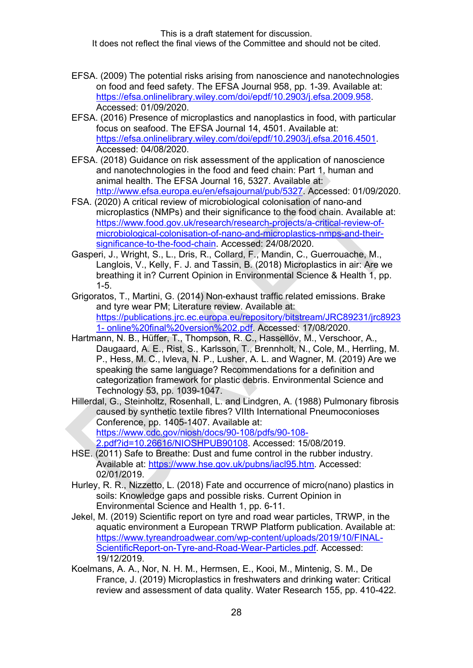- EFSA. (2009) The potential risks arising from nanoscience and nanotechnologies on food and feed safety. The EFSA Journal 958, pp. 1-39. Available at: [https://efsa.onlinelibrary.wiley.com/doi/epdf/10.2903/j.efsa.2009.958.](https://efsa.onlinelibrary.wiley.com/doi/epdf/10.2903/j.efsa.2009.958) Accessed: 01/09/2020.
- EFSA. (2016) Presence of microplastics and nanoplastics in food, with particular focus on seafood. The EFSA Journal 14, 4501. Available at: [https://efsa.onlinelibrary.wiley.com/doi/epdf/10.2903/j.efsa.2016.4501.](https://efsa.onlinelibrary.wiley.com/doi/epdf/10.2903/j.efsa.2016.4501) Accessed: 04/08/2020.
- EFSA. (2018) Guidance on risk assessment of the application of nanoscience and nanotechnologies in the food and feed chain: Part 1, human and animal health. The EFSA Journal 16, 5327. Available at: http://www.efsa.europa.eu/en/efsajournal/pub/5327. Accessed: 01/09/2020.
- FSA. (2020) A critical review of microbiological colonisation of nano-and microplastics (NMPs) and their significance to the food chain. Available at: [https://www.food.gov.uk/research/research-projects/a-critical-review-of](https://www.food.gov.uk/research/research-projects/a-critical-review-of-microbiological-colonisation-of-nano-and-microplastics-nmps-and-their-significance-to-the-food-chain)[microbiological-colonisation-of-nano-and-microplastics-nmps-and-their](https://www.food.gov.uk/research/research-projects/a-critical-review-of-microbiological-colonisation-of-nano-and-microplastics-nmps-and-their-significance-to-the-food-chain)[significance-to-the-food-chain.](https://www.food.gov.uk/research/research-projects/a-critical-review-of-microbiological-colonisation-of-nano-and-microplastics-nmps-and-their-significance-to-the-food-chain) Accessed: 24/08/2020.
- Gasperi, J., Wright, S., L., Dris, R., Collard, F., Mandin, C., Guerrouache, M., Langlois, V., Kelly, F. J. and Tassin, B. (2018) Microplastics in air: Are we breathing it in? Current Opinion in Environmental Science & Health 1, pp. 1-5.
- Grigoratos, T., Martini, G. (2014) Non-exhaust traffic related emissions. Brake and tyre wear PM; Literature review. Available at: https://publications.jrc.ec.europa.eu/repository/bitstream/JRC89231/jrc8923 1- online%20final%20version%202.pdf. Accessed: 17/08/2020.
- Hartmann, N. B., Hüffer, T., Thompson, R. C., Hassellöv, M., Verschoor, A., Daugaard, A. E., Rist, S., Karlsson, T., Brennholt, N., Cole, M., Herrling, M. P., Hess, M. C., Ivleva, N. P., Lusher, A. L. and Wagner, M. (2019) Are we speaking the same language? Recommendations for a definition and categorization framework for plastic debris. Environmental Science and Technology 53, pp. 1039-1047.
- Hillerdal, G., Steinholtz, Rosenhall, L. and Lindgren, A. (1988) Pulmonary fibrosis caused by synthetic textile fibres? VIIth International Pneumoconioses Conference, pp. 1405-1407. Available at: https://www.cdc.gov/niosh/docs/90-108/pdfs/90-108- 2.pdf?id=10.26616/NIOSHPUB90108. Accessed: 15/08/2019.
- HSE. (2011) Safe to Breathe: Dust and fume control in the rubber industry. Available at: https://www.hse.gov.uk/pubns/iacl95.htm. Accessed: 02/01/2019.
- Hurley, R. R., Nizzetto, L. (2018) Fate and occurrence of micro(nano) plastics in soils: Knowledge gaps and possible risks. Current Opinion in Environmental Science and Health 1, pp. 6-11.
- Jekel, M. (2019) Scientific report on tyre and road wear particles, TRWP, in the aquatic environment a European TRWP Platform publication. Available at: https://www.tyreandroadwear.com/wp-content/uploads/2019/10/FINAL-ScientificReport-on-Tyre-and-Road-Wear-Particles.pdf. Accessed: 19/12/2019.
- Koelmans, A. A., Nor, N. H. M., Hermsen, E., Kooi, M., Mintenig, S. M., De France, J. (2019) Microplastics in freshwaters and drinking water: Critical review and assessment of data quality. Water Research 155, pp. 410-422.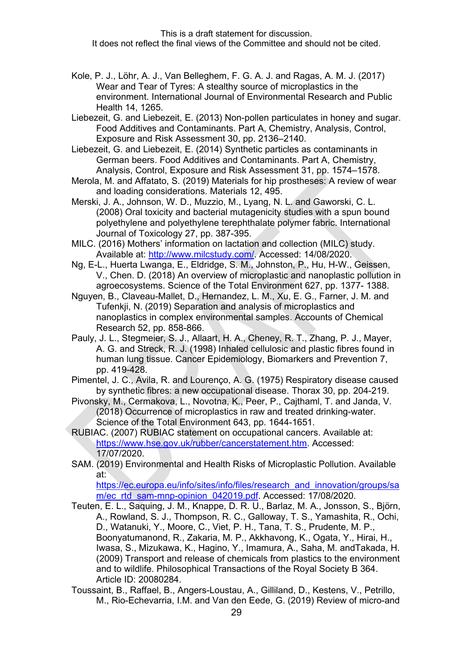- Kole, P. J., Lӧhr, A. J., Van Belleghem, F. G. A. J. and Ragas, A. M. J. (2017) Wear and Tear of Tyres: A stealthy source of microplastics in the environment. International Journal of Environmental Research and Public Health 14, 1265.
- Liebezeit, G. and Liebezeit, E. (2013) Non-pollen particulates in honey and sugar. Food Additives and Contaminants. Part A, Chemistry, Analysis, Control, Exposure and Risk Assessment 30, pp. 2136–2140.
- Liebezeit, G. and Liebezeit, E. (2014) Synthetic particles as contaminants in German beers. Food Additives and Contaminants. Part A, Chemistry, Analysis, Control, Exposure and Risk Assessment 31, pp. 1574–1578.
- Merola, M. and Affatato, S. (2019) Materials for hip prostheses: A review of wear and loading considerations. Materials 12, 495.
- Merski, J. A., Johnson, W. D., Muzzio, M., Lyang, N. L. and Gaworski, C. L. (2008) Oral toxicity and bacterial mutagenicity studies with a spun bound polyethylene and polyethylene terephthalate polymer fabric. International Journal of Toxicology 27, pp. 387-395.
- MILC. (2016) Mothers' information on lactation and collection (MILC) study. Available at: http://www.milcstudy.com/. Accessed: 14/08/2020.
- Ng, E-L., Huerta Lwanga, E., Eldridge, S. M., Johnston, P., Hu, H-W., Geissen, V., Chen. D. (2018) An overview of microplastic and nanoplastic pollution in agroecosystems. Science of the Total Environment 627, pp. 1377- 1388.
- Nguyen, B., Claveau-Mallet, D., Hernandez, L. M., Xu, E. G., Farner, J. M. and Tufenkji, N. (2019) Separation and analysis of microplastics and nanoplastics in complex environmental samples. Accounts of Chemical Research 52, pp. 858-866.
- Pauly, J. L., Stegmeier, S. J., Allaart, H. A., Cheney, R. T., Zhang, P. J., Mayer, A. G. and Streck, R. J. (1998) Inhaled cellulosic and plastic fibres found in human lung tissue. Cancer Epidemiology, Biomarkers and Prevention 7, pp. 419-428.
- Pimentel, J. C., Avila, R. and Lourenço, A. G. (1975) Respiratory disease caused by synthetic fibres: a new occupational disease. Thorax 30, pp. 204-219.
- Pivonsky, M., Cermakova, L., Novotna, K., Peer, P., Cajthaml, T. and Janda, V. (2018) Occurrence of microplastics in raw and treated drinking-water. Science of the Total Environment 643, pp. 1644-1651.
- RUBIAC. (2007) RUBIAC statement on occupational cancers. Available at: [https://www.hse.gov.uk/rubber/cancerstatement.htm.](https://www.hse.gov.uk/rubber/cancerstatement.htm) Accessed: 17/07/2020.
- SAM. (2019) Environmental and Health Risks of Microplastic Pollution. Available at:

[https://ec.europa.eu/info/sites/info/files/research\\_and\\_innovation/groups/sa](https://ec.europa.eu/info/sites/info/files/research_and_innovation/groups/sam/ec_rtd_sam-mnp-opinion_042019.pdf) [m/ec\\_rtd\\_sam-mnp-opinion\\_042019.pdf.](https://ec.europa.eu/info/sites/info/files/research_and_innovation/groups/sam/ec_rtd_sam-mnp-opinion_042019.pdf) Accessed: 17/08/2020.

- Teuten, E. L., Saquing, J. M., Knappe, D. R. U., Barlaz, M. A., Jonsson, S., Björn, A., Rowland, S. J., Thompson, R. C., Galloway, T. S., Yamashita, R., Ochi, D., Watanuki, Y., Moore, C., Viet, P. H., Tana, T. S., Prudente, M. P., Boonyatumanond, R., Zakaria, M. P., Akkhavong, K., Ogata, Y., Hirai, H., Iwasa, S., Mizukawa, K., Hagino, Y., Imamura, A., Saha, M. andTakada, H. (2009) Transport and release of chemicals from plastics to the environment and to wildlife. Philosophical Transactions of the Royal Society B 364. Article ID: 20080284.
- Toussaint, B., Raffael, B., Angers-Loustau, A., Gilliland, D., Kestens, V., Petrillo, M., Rio-Echevarria, I.M. and Van den Eede, G. (2019) Review of micro-and